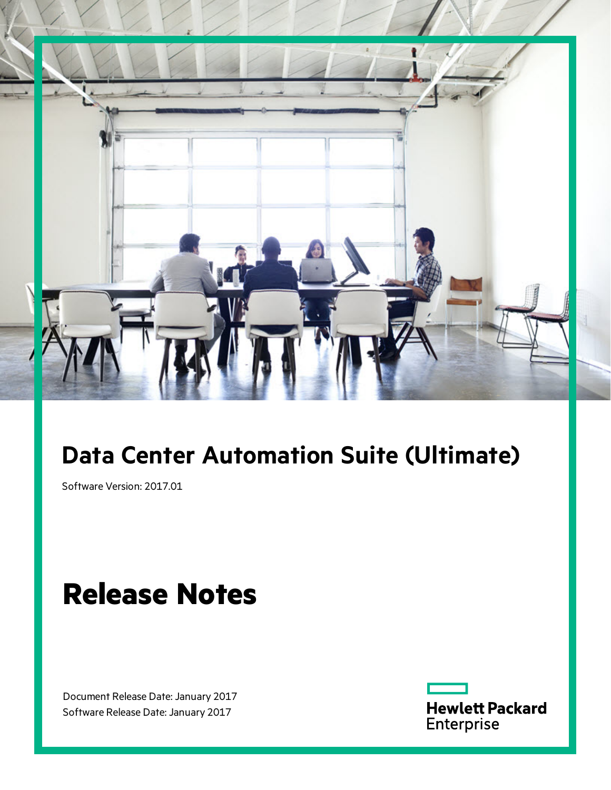

## **Data Center Automation Suite (Ultimate)**

Software Version: 2017.01

# **Release Notes**

Document Release Date: January 2017 Software Release Date: January 2017

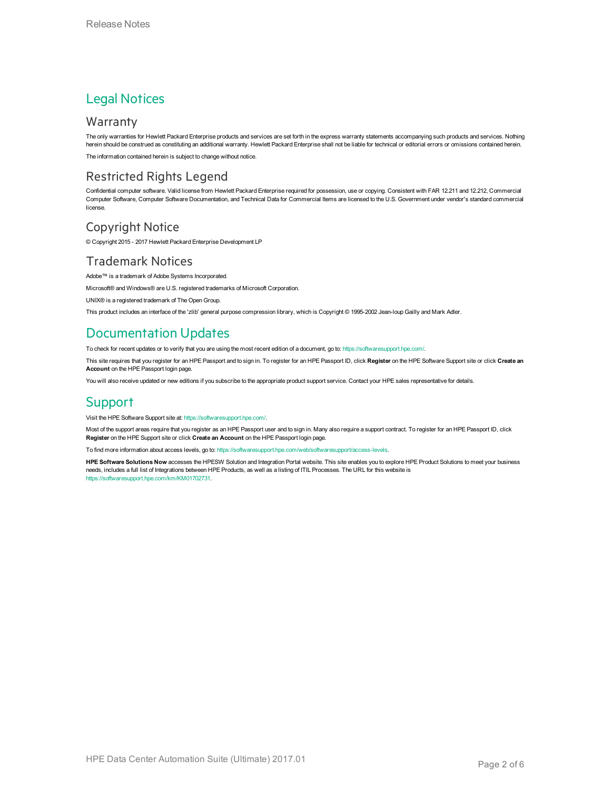### Legal Notices

#### **Warranty**

The only warranties for Hewlett Packard Enterprise products and services are set forth in the express warranty statements accompanying such products and services. Nothing herein should be construed as constituting an additional warranty. Hewlett Packard Enterprise shall not be liable for technical or editorial errors or omissions contained herein.

The information contained herein is subject to change without notice.

#### Restricted Rights Legend

Confidential computer software. Valid license from Hewlett Packard Enterprise required for possession, use or copying. Consistent with FAR 12.211 and 12.212, Commercial Computer Software, Computer Software Documentation, and Technical Data for Commercial Items are licensed to the U.S. Government under vendor's standard commercial license.

#### Copyright Notice

© Copyright 2015 - 2017 Hewlett Packard Enterprise Development LP

#### Trademark Notices

Adobe™ is a trademark of Adobe Systems Incorporated.

Microsoft® and Windows® are U.S. registered trademarks of Microsoft Corporation.

UNIX® is a registered trademark of The Open Group.

This product includes an interface of the 'zlib' general purpose compression library, which is Copyright © 1995-2002 Jean-loup Gailly and Mark Adler.

### Documentation Updates

To check for recent updates or to verify that you are using the most recent edition of a document, go to: <https://softwaresupport.hpe.com/>.

This site requires that you register for an HPE Passport and to sign in. To register for an HPE Passport ID, click **Register** on the HPE Software Support site or click **Create an Account** on the HPE Passport login page.

You will also receive updated or new editions if you subscribe to the appropriate product support service. Contact your HPE sales representative for details.

### **Support**

Visit the HPE Software Support site at: <https://softwaresupport.hpe.com/>.

Most of the support areas require that you register as an HPE Passport user and to sign in. Many also require a support contract. To register for an HPE Passport ID, click **Register** on the HPE Support site or click **Create an Account** on the HPE Passport login page.

To find more information about access levels, go to: <https://softwaresupport.hpe.com/web/softwaresupport/access-levels>.

**HPE Software Solutions Now** accesses the HPESW Solution and Integration Portal website. This site enables you to explore HPE Product Solutions to meet your business needs, includes a full list of Integrations between HPE Products, as well as a listing of ITIL Processes. The URL for this website is [https://softwaresupport.hpe.com/km/KM01702731.](https://softwaresupport.hpe.com/km/KM01702731)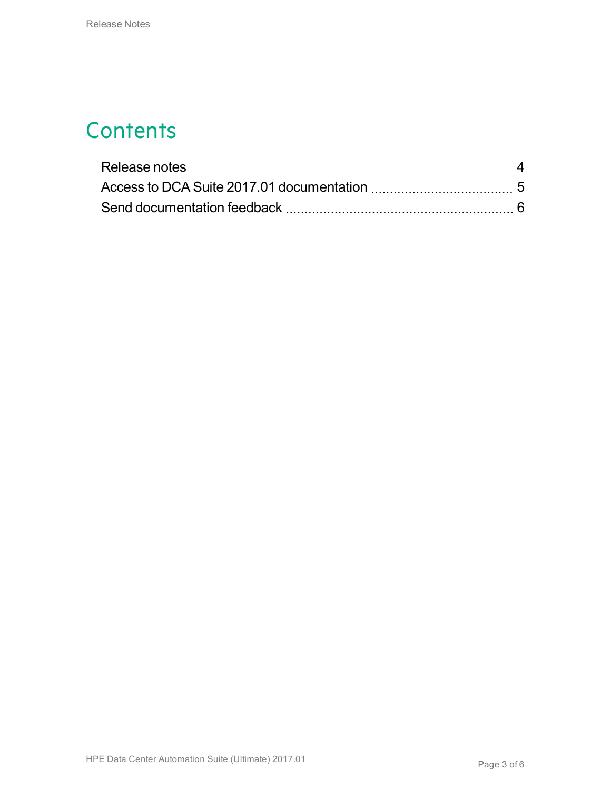### **Contents**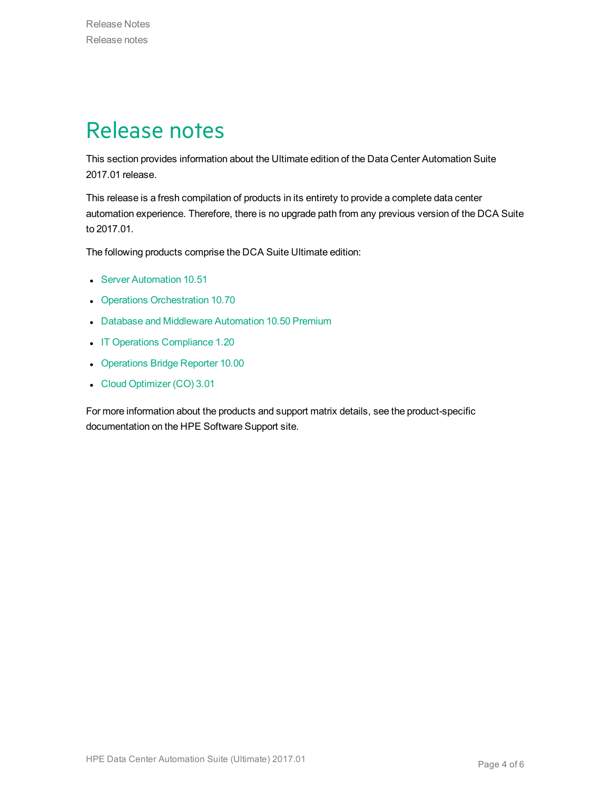## <span id="page-3-0"></span>Release notes

This section provides information about the Ultimate edition of the Data Center Automation Suite 2017.01 release.

This release is a fresh compilation of products in its entirety to provide a complete data center automation experience. Therefore, there is no upgrade path from any previous version of the DCA Suite to 2017.01.

The following products comprise the DCA Suite Ultimate edition:

- **Server [Automation](https://softwaresupport.hpe.com/km/KM02614589) 10.51**
- Operations [Orchestration](https://softwaresupport.hpe.com/km/KM02518005) 10.70
- Database and [Middleware](https://softwaresupport.hpe.com/km/KM02364830) Automation 10.50 Premium
- IT Operations [Compliance](https://softwaresupport.hpe.com/km/KM02583928) 1.20
- [Operations](https://softwaresupport.hpe.com/km/KM02027309) Bridge Reporter 10.00
- Cloud [Optimizer](https://softwaresupport.hpe.com/km/KM02469453) (CO) 3.01

For more information about the products and support matrix details, see the product-specific documentation on the HPE Software Support site.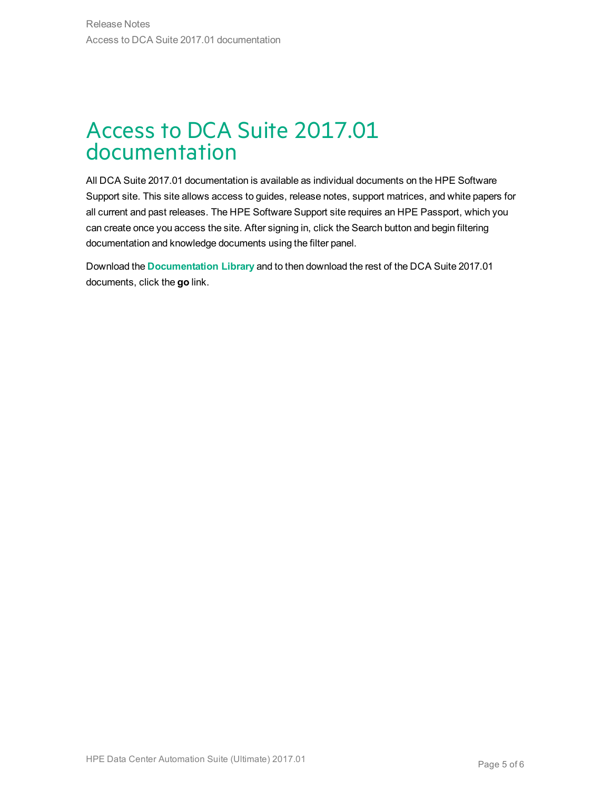### <span id="page-4-0"></span>Access to DCA Suite 2017.01 documentation

All DCA Suite 2017.01 documentation is available as individual documents on the HPE Software Support site. This site allows access to guides, release notes, support matrices, and white papers for all current and past releases. The HPE Software Support site requires an HPE Passport, which you can create once you access the site. After signing in, click the Search button and begin filtering documentation and knowledge documents using the filter panel.

Download the **[Documentation](https://softwaresupport.hpe.com/km/KM02710403) Library** and to then download the rest of the DCA Suite 2017.01 documents, click the **go** link.